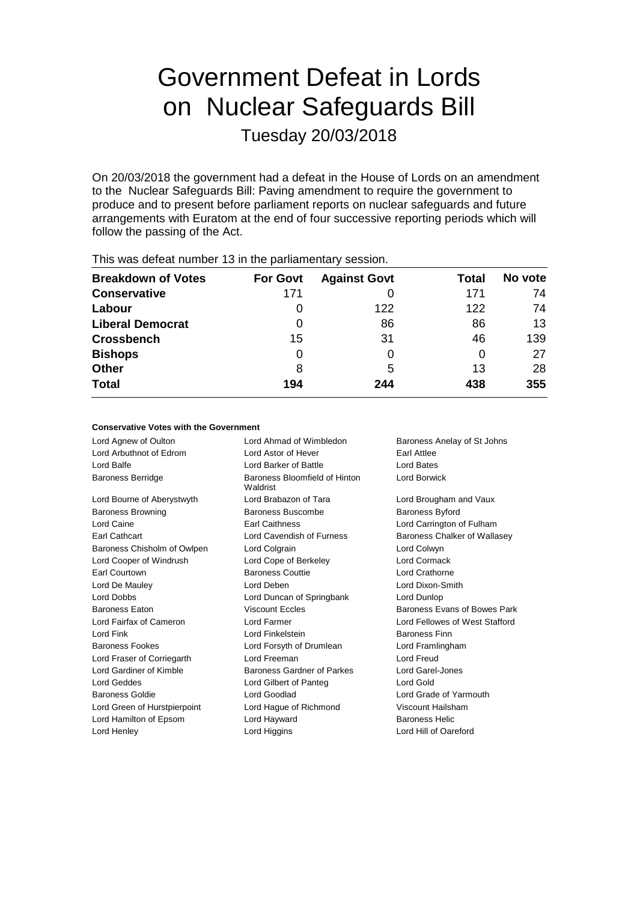# Government Defeat in Lords on Nuclear Safeguards Bill

Tuesday 20/03/2018

On 20/03/2018 the government had a defeat in the House of Lords on an amendment to the Nuclear Safeguards Bill: Paving amendment to require the government to produce and to present before parliament reports on nuclear safeguards and future arrangements with Euratom at the end of four successive reporting periods which will follow the passing of the Act.

| This mas actout harmoof to in the painantonial foodbioni |                 |                     |       |         |
|----------------------------------------------------------|-----------------|---------------------|-------|---------|
| <b>Breakdown of Votes</b>                                | <b>For Govt</b> | <b>Against Govt</b> | Total | No vote |
| <b>Conservative</b>                                      | 171             |                     | 171   | 74      |
| Labour                                                   |                 | 122                 | 122   | 74      |
| <b>Liberal Democrat</b>                                  | 0               | 86                  | 86    | 13      |
| <b>Crossbench</b>                                        | 15              | 31                  | 46    | 139     |
| <b>Bishops</b>                                           | 0               | 0                   | O     | 27      |
| <b>Other</b>                                             | 8               | 5                   | 13    | 28      |
| <b>Total</b>                                             | 194             | 244                 | 438   | 355     |
|                                                          |                 |                     |       |         |

This was defeat number 13 in the parliamentary session.

### **Conservative Votes with the Government**

Lord Agnew of Oulton **Lord Ahmad of Wimbledon** Baroness Anelay of St Johns Lord Arbuthnot of Edrom Lord Astor of Hever Earl Attlee Lord Balfe Lord Barker of Battle Lord Bates Baroness Berridge Baroness Bloomfield of Hinton Waldrist Lord Borwick Lord Bourne of Aberystwyth Lord Brabazon of Tara Lord Brougham and Vaux Baroness Browning **Baroness Buscombe** Baroness Byford Lord Caine Earl Caithness Lord Carrington of Fulham Earl Cathcart Lord Cavendish of Furness Baroness Chalker of Wallasey Baroness Chisholm of Owlpen Lord Colgrain Lord Colwyn Lord Cooper of Windrush Lord Cope of Berkeley Lord Cormack Earl Courtown Baroness Couttie Lord Crathorne Lord De Mauley Lord Deben Lord Dixon-Smith Lord Dobbs Lord Duncan of Springbank Lord Dunlop Baroness Eaton **Baroness Evans In the State Control Viscount Eccles** Baroness Evans of Bowes Park Lord Fairfax of Cameron Lord Farmer Lord Fellowes of West Stafford Lord Fink Lord Finkelstein Baroness Finn Baroness Fookes Lord Forsyth of Drumlean Lord Framlingham Lord Fraser of Corriegarth Lord Freeman Lord Freud Lord Gardiner of Kimble **Baroness Gardner of Parkes** Lord Garel-Jones Lord Geddes Lord Gilbert of Panteg Lord Gold Baroness Goldie Lord Goodlad Lord Grade of Yarmouth Lord Green of Hurstpierpoint Lord Hague of Richmond Viscount Hailsham Lord Hamilton of Epsom Lord Hayward **Baroness Helic** Lord Henley **Lord Higgins** Lord Higgins **Lord Hill of Oareford**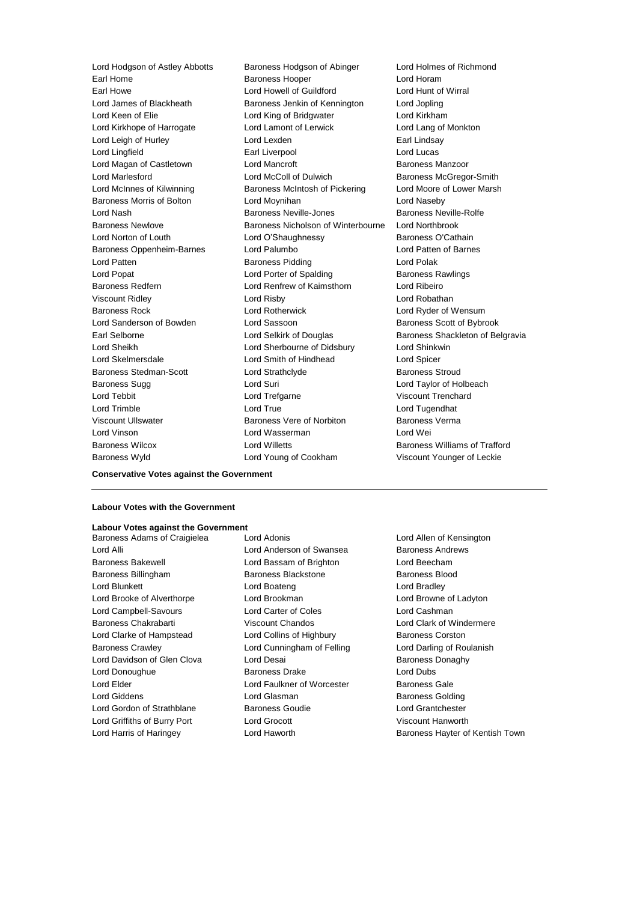Lord Hodgson of Astley Abbotts Baroness Hodgson of Abinger Lord Holmes of Richmond Earl Home **Baroness Hooper Baroness Hooper Lord Horam** Earl Howe Lord Howell of Guildford Lord Hunt of Wirral Lord James of Blackheath Baroness Jenkin of Kennington Lord Jopling Lord Keen of Elie **Lord King of Bridgwater** Lord Kirkham Lord Kirkhope of Harrogate Lord Lamont of Lerwick Lord Lang of Monkton Lord Leigh of Hurley **Lord Lexden** Earl Lindsay Lord Lingfield Earl Liverpool Lord Lucas Lord Magan of Castletown Lord Mancroft **Baroness Manzoor** Lord Marlesford Lord McColl of Dulwich Baroness McGregor-Smith Lord McInnes of Kilwinning **Baroness McIntosh of Pickering** Lord Moore of Lower Marsh Baroness Morris of Bolton Lord Moynihan Lord Naseby Lord Nash **Baroness Neville-Jones** Baroness Neville-Rolfe Baroness Newlove Baroness Nicholson of Winterbourne Lord Northbrook Lord Norton of Louth **Lord O'Shaughnessy** Baroness O'Cathain Baroness Oppenheim-Barnes Lord Palumbo Lord Patten of Barnes Lord Patten Baroness Pidding Lord Polak Lord Popat **Lord Porter of Spalding Corporation** Baroness Rawlings Baroness Redfern Lord Renfrew of Kaimsthorn Lord Ribeiro Viscount Ridley Lord Risby Lord Robathan Baroness Rock Lord Rotherwick Lord Ryder of Wensum Lord Sanderson of Bowden Lord Sassoon Baroness Scott of Bybrook Earl Selborne **Lord Selkirk of Douglas** Baroness Shackleton of Belgravia Lord Sheikh Lord Sherbourne of Didsbury Lord Shinkwin Lord Skelmersdale Lord Smith of Hindhead Lord Spicer Baroness Stedman-Scott Lord Strathclyde Baroness Stroud Baroness Sugg Lord Suri Lord Taylor of Holbeach Lord Tebbit Lord Trefgarne Viscount Trenchard Lord Trimble Lord True Lord Tugendhat Viscount Ullswater Baroness Vere of Norbiton Baroness Verma Lord Vinson Lord Wasserman Lord Wei Baroness Wilcox Lord Willetts Baroness Williams of Trafford

Baroness Wyld Lord Young of Cookham Viscount Younger of Leckie

**Conservative Votes against the Government**

### **Labour Votes with the Government**

### **Labour Votes against the Government**

Lord Alli **Lord Anderson of Swansea** Baroness Andrews Baroness Bakewell Lord Bassam of Brighton Lord Beecham Baroness Billingham Baroness Blackstone Baroness Blood Lord Blunkett Lord Boateng Lord Bradley Lord Brooke of Alverthorpe Lord Brookman Lord Browne of Ladyton Lord Campbell-Savours Lord Carter of Coles Lord Cashman Baroness Chakrabarti **Viscount Chandos** Lord Clark of Windermere Lord Clarke of Hampstead Lord Collins of Highbury Baroness Corston Baroness Crawley **Lord Cunningham of Felling** Lord Darling of Roulanish Lord Davidson of Glen Clova Lord Desai **Baroness Donaghy** Baroness Donaghy Lord Donoughue Baroness Drake Lord Dubs Lord Elder Lord Faulkner of Worcester Baroness Gale Lord Giddens **Lord Glasman** Baroness Golding Lord Gordon of Strathblane Baroness Goudie Lord Grantchester Lord Griffiths of Burry Port Lord Grocott Viscount Hanworth

Baroness Adams of Craigielea Lord Adonis Lord Allen of Kensington Lord Harris of Haringey **Lord Haworth Baroness Hayter of Kentish Town**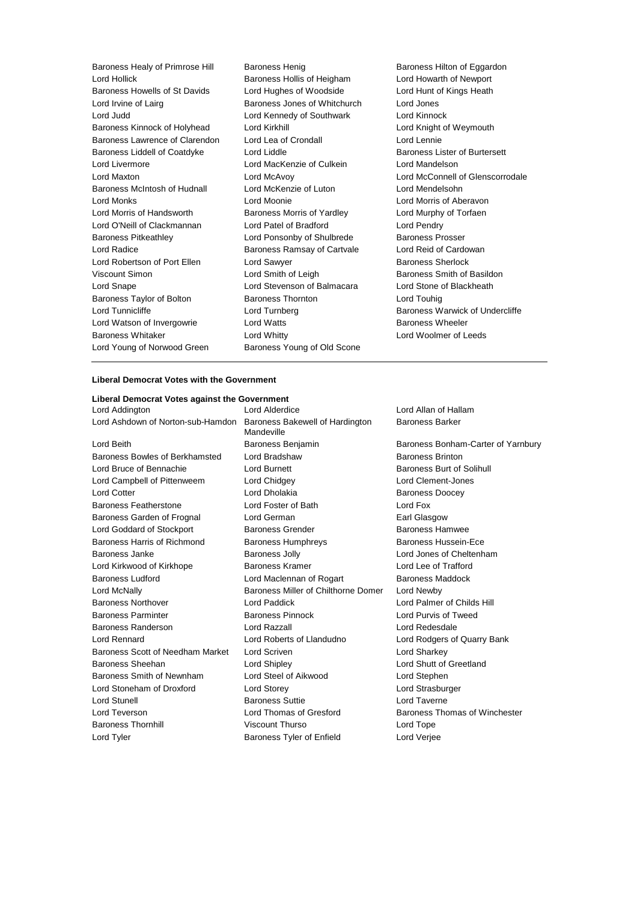Baroness Healy of Primrose Hill Baroness Henig Baroness Henry Baroness Hilton of Eggardon Lord Hollick Baroness Hollis of Heigham Lord Howarth of Newport Baroness Howells of St Davids Lord Hughes of Woodside Lord Hunt of Kings Heath Lord Irvine of Lairg **Baroness Jones of Whitchurch** Lord Jones Lord Judd Lord Kennedy of Southwark Lord Kinnock Baroness Kinnock of Holyhead Lord Kirkhill Lord Knight of Weymouth Baroness Lawrence of Clarendon Lord Lea of Crondall Lord Lennie Baroness Liddell of Coatdyke Lord Liddle Liddle Baroness Lister of Burtersett Lord Livermore Lord MacKenzie of Culkein Lord Mandelson Lord Maxton Lord McAvoy Lord McConnell of Glenscorrodale Baroness McIntosh of Hudnall Lord McKenzie of Luton Lord Mendelsohn Lord Monks Lord Moonie Lord Morris of Aberavon Lord Morris of Handsworth Baroness Morris of Yardley Lord Murphy of Torfaen Lord O'Neill of Clackmannan Lord Patel of Bradford Lord Pendry Baroness Pitkeathley **Lord Ponsonby of Shulbrede** Baroness Prosser Lord Radice **Baroness Ramsay of Cartvale** Lord Reid of Cardowan Lord Robertson of Port Ellen Lord Sawyer **Baroness** Sherlock Viscount Simon Lord Smith of Leigh Baroness Smith of Basildon Lord Snape Lord Stevenson of Balmacara Lord Stone of Blackheath Baroness Taylor of Bolton **Baroness Thornton** Baroness Thornton **Baroness** Thornton Lord Touhig Lord Tunnicliffe Lord Turnberg Baroness Warwick of Undercliffe Lord Watson of Invergowrie **Lord Watts** Lord Watts **Baroness Wheeler** Baroness Whitaker Lord Whitty Lord Woolmer of Leeds Lord Young of Norwood Green Baroness Young of Old Scone

## **Liberal Democrat Votes with the Government**

**Liberal Democrat Votes against the Government** Lord Addington Lord Alderdice Lord Allan of Hallam Lord Ashdown of Norton-sub-Hamdon Baroness Bakewell of Hardington Lord Beith Baroness Benjamin Baroness Bonham-Carter of Yarnbury Baroness Bowles of Berkhamsted Lord Bradshaw **Baroness Brinton** Lord Bruce of Bennachie **Lord Burnett** Lord Burnett **Baroness Burt of Solihull** Lord Campbell of Pittenweem Lord Chidgey Lord Clement-Jones Lord Cotter **Lord Dholakia** Baroness Doocey Baroness Featherstone Lord Foster of Bath Lord Fox Baroness Garden of Frognal Lord German Lore Carl Glasgow Lord Goddard of Stockport **Baroness Grender** Baroness Hamwee Baroness Harris of Richmond Baroness Humphreys Baroness Hussein-Ece Baroness Janke Baroness Jolly Lord Jones of Cheltenham Lord Kirkwood of Kirkhope **Baroness Kramer** Baroness Kramer Lord Lee of Trafford Baroness Ludford Lord Maclennan of Rogart Baroness Maddock Lord McNally Baroness Miller of Chilthorne Domer Lord Newby Baroness Northover Lord Paddick Lord Palmer of Childs Hill Baroness Parminter Baroness Pinnock Lord Purvis of Tweed Baroness Randerson Lord Razzall Lord Redesdale Lord Rennard Lord Roberts of Llandudno Lord Rodgers of Quarry Bank Baroness Scott of Needham Market Lord Scriven Lord Sharkey Lord Sharkey Baroness Sheehan Lord Shipley Lord Shutt of Greetland Baroness Smith of Newnham Lord Steel of Aikwood Lord Stephen Lord Stoneham of Droxford Lord Storey Lord Strasburger Lord Stunell Baroness Suttie Lord Taverne Lord Teverson **Lord Thomas of Gresford** Baroness Thomas of Winchester Baroness Thornhill Viscount Thurso Lord Tope Lord Tyler **Contact Contact Contact Contact Contact Contact Contact Contact Contact Contact Contact Contact Contact Contact Contact Contact Contact Contact Contact Contact Contact Contact Contact Contact Contact Contact Co** 

Mandeville

Baroness Barker